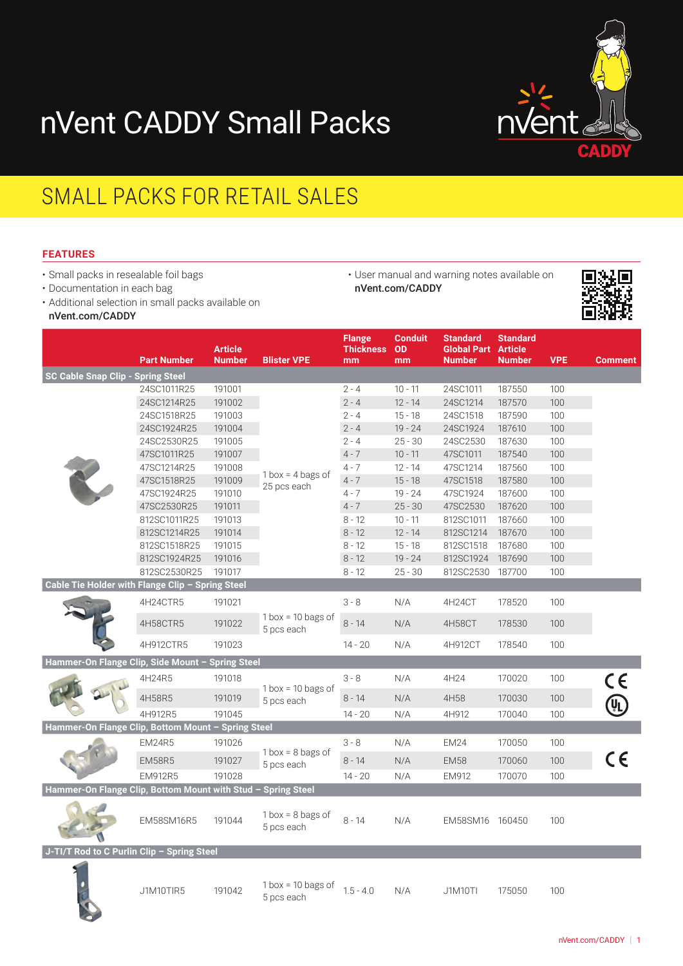



• User manual and warning notes available on

[nVent.com/CADDY](http://www.nVent.com/CADDY)

## SMALL PACKS FOR RETAIL SALES

## **FEATURES**

- Small packs in resealable foil bags
- Documentation in each bag
- Additional selection in small packs available on
- [nVent.com/CADDY](http://www.nvent.com/CADDY)

|                                                              | <b>Part Number</b> | <b>Article</b><br><b>Number</b> | <b>Blister VPE</b>                  | <b>Flange</b><br><b>Thickness</b><br>mm | <b>Conduit</b><br><b>OD</b><br>mm | <b>Standard</b><br><b>Global Part</b><br><b>Number</b> | <b>Standard</b><br><b>Article</b><br><b>Number</b> | <b>VPE</b> | <b>Comment</b> |
|--------------------------------------------------------------|--------------------|---------------------------------|-------------------------------------|-----------------------------------------|-----------------------------------|--------------------------------------------------------|----------------------------------------------------|------------|----------------|
| <b>SC Cable Snap Clip - Spring Steel</b>                     |                    |                                 |                                     |                                         |                                   |                                                        |                                                    |            |                |
|                                                              | 24SC1011R25        | 191001                          | $1$ box = 4 bags of<br>25 pcs each  | $2 - 4$                                 | $10 - 11$                         | 24SC1011                                               | 187550                                             | 100        |                |
|                                                              | 24SC1214R25        | 191002                          |                                     | $2 - 4$                                 | $12 - 14$                         | 24SC1214                                               | 187570                                             | 100        |                |
|                                                              | 24SC1518R25        | 191003                          |                                     | $2 - 4$                                 | $15 - 18$                         | 24SC1518                                               | 187590                                             | 100        |                |
|                                                              | 24SC1924R25        | 191004                          |                                     | $2 - 4$                                 | $19 - 24$                         | 24SC1924                                               | 187610                                             | 100        |                |
|                                                              | 24SC2530R25        | 191005                          |                                     | $2 - 4$                                 | $25 - 30$                         | 24SC2530                                               | 187630                                             | 100        |                |
|                                                              | 47SC1011R25        | 191007                          |                                     | $4 - 7$                                 | $10 - 11$                         | 47SC1011                                               | 187540                                             | 100        |                |
|                                                              | 47SC1214R25        | 191008                          |                                     | $4 - 7$                                 | $12 - 14$                         | 47SC1214                                               | 187560                                             | 100        |                |
|                                                              | 47SC1518R25        | 191009                          |                                     | $4 - 7$                                 | $15 - 18$                         | 47SC1518                                               | 187580                                             | 100        |                |
|                                                              | 47SC1924R25        | 191010                          |                                     | $4 - 7$                                 | $19 - 24$                         | 47SC1924                                               | 187600                                             | 100        |                |
|                                                              | 47SC2530R25        | 191011                          |                                     | $4 - 7$                                 | $25 - 30$                         | 47SC2530                                               | 187620                                             | 100        |                |
|                                                              | 812SC1011R25       | 191013                          |                                     | $8 - 12$                                | $10 - 11$                         | 812SC1011                                              | 187660                                             | 100        |                |
|                                                              | 812SC1214R25       | 191014                          |                                     | $8 - 12$                                | $12 - 14$                         | 812SC1214                                              | 187670                                             | 100        |                |
|                                                              | 812SC1518R25       | 191015                          |                                     | $8 - 12$                                | $15 - 18$                         | 812SC1518                                              | 187680                                             | 100        |                |
|                                                              | 812SC1924R25       | 191016                          |                                     | $8 - 12$                                | $19 - 24$                         | 812SC1924                                              | 187690                                             | 100        |                |
|                                                              | 812SC2530R25       | 191017                          |                                     | $8 - 12$                                | $25 - 30$                         | 812SC2530                                              | 187700                                             | 100        |                |
| Cable Tie Holder with Flange Clip - Spring Steel             |                    |                                 |                                     |                                         |                                   |                                                        |                                                    |            |                |
|                                                              | 4H24CTR5           | 191021                          | $1$ box = 10 bags of<br>5 pcs each  | $3 - 8$                                 | N/A                               | 4H24CT                                                 | 178520                                             | 100        |                |
|                                                              | 4H58CTR5           | 191022                          |                                     | $8 - 14$                                | N/A                               | 4H58CT                                                 | 178530                                             | 100        |                |
|                                                              | 4H912CTR5          | 191023                          |                                     | $14 - 20$                               | N/A                               | 4H912CT                                                | 178540                                             | 100        |                |
| Hammer-On Flange Clip, Side Mount - Spring Steel             |                    |                                 |                                     |                                         |                                   |                                                        |                                                    |            |                |
|                                                              | 4H24R5             | 191018                          | $1$ box = 10 bags of<br>5 pcs each  | $3 - 8$                                 | N/A                               | 4H24                                                   | 170020                                             | 100        | $\epsilon$     |
|                                                              | 4H58R5             | 191019                          |                                     | $8 - 14$                                | N/A                               | 4H58                                                   | 170030                                             | 100        |                |
|                                                              | 4H912R5            | 191045                          |                                     | $14 - 20$                               | N/A                               | 4H912                                                  | 170040                                             | 100        |                |
| Hammer-On Flange Clip, Bottom Mount - Spring Steel           |                    |                                 |                                     |                                         |                                   |                                                        |                                                    |            |                |
|                                                              | <b>EM24R5</b>      | 191026                          | $1$ box = $8$ bags of<br>5 pcs each | $3 - 8$                                 | N/A                               | <b>EM24</b>                                            | 170050                                             | 100        |                |
|                                                              | <b>EM58R5</b>      | 191027                          |                                     | $8 - 14$                                | N/A                               | <b>EM58</b>                                            | 170060                                             | 100        | $\epsilon$     |
|                                                              | <b>EM912R5</b>     | 191028                          |                                     | $14 - 20$                               | N/A                               | EM912                                                  | 170070                                             | 100        |                |
| Hammer-On Flange Clip, Bottom Mount with Stud - Spring Steel |                    |                                 |                                     |                                         |                                   |                                                        |                                                    |            |                |
|                                                              | <b>EM58SM16R5</b>  | 191044                          | $1$ box = 8 bags of<br>5 pcs each   | $8 - 14$                                | N/A                               | EM58SM16 160450                                        |                                                    | 100        |                |
| J-TI/T Rod to C Purlin Clip - Spring Steel                   |                    |                                 |                                     |                                         |                                   |                                                        |                                                    |            |                |
|                                                              | J1M10TIR5          | 191042                          | $1$ box = 10 bags of<br>5 pcs each  | $1.5 - 4.0$                             | N/A                               | <b>J1M10TI</b>                                         | 175050                                             | 100        |                |